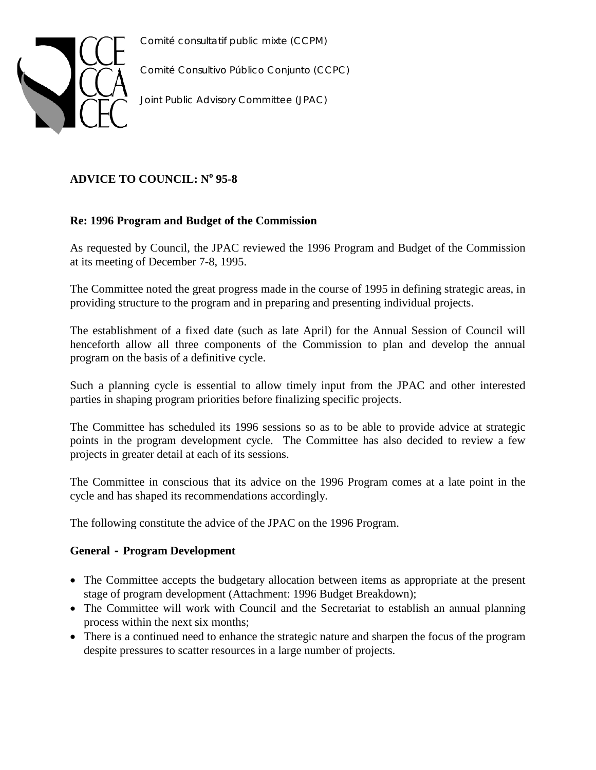



*Comité Consultivo Público Conjunto (CCPC)*

*Joint Public Advisory Committee (JPAC)*

## **ADVICE TO COUNCIL: No 95-8**

#### **Re: 1996 Program and Budget of the Commission**

As requested by Council, the JPAC reviewed the 1996 Program and Budget of the Commission at its meeting of December 7-8, 1995.

The Committee noted the great progress made in the course of 1995 in defining strategic areas, in providing structure to the program and in preparing and presenting individual projects.

The establishment of a fixed date (such as late April) for the Annual Session of Council will henceforth allow all three components of the Commission to plan and develop the annual program on the basis of a definitive cycle.

Such a planning cycle is essential to allow timely input from the JPAC and other interested parties in shaping program priorities before finalizing specific projects.

The Committee has scheduled its 1996 sessions so as to be able to provide advice at strategic points in the program development cycle. The Committee has also decided to review a few projects in greater detail at each of its sessions.

The Committee in conscious that its advice on the 1996 Program comes at a late point in the cycle and has shaped its recommendations accordingly.

The following constitute the advice of the JPAC on the 1996 Program.

#### **General - Program Development**

- The Committee accepts the budgetary allocation between items as appropriate at the present stage of program development (Attachment: 1996 Budget Breakdown);
- The Committee will work with Council and the Secretariat to establish an annual planning process within the next six months;
- There is a continued need to enhance the strategic nature and sharpen the focus of the program despite pressures to scatter resources in a large number of projects.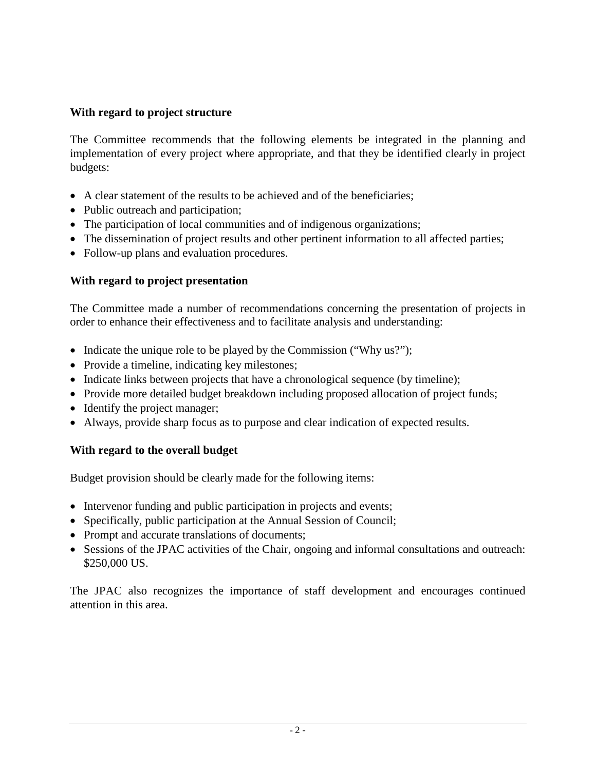#### **With regard to project structure**

The Committee recommends that the following elements be integrated in the planning and implementation of every project where appropriate, and that they be identified clearly in project budgets:

- A clear statement of the results to be achieved and of the beneficiaries;
- Public outreach and participation;
- The participation of local communities and of indigenous organizations;
- The dissemination of project results and other pertinent information to all affected parties;
- Follow-up plans and evaluation procedures.

## **With regard to project presentation**

The Committee made a number of recommendations concerning the presentation of projects in order to enhance their effectiveness and to facilitate analysis and understanding:

- Indicate the unique role to be played by the Commission ("Why us?");
- Provide a timeline, indicating key milestones;
- Indicate links between projects that have a chronological sequence (by timeline);
- Provide more detailed budget breakdown including proposed allocation of project funds;
- Identify the project manager;
- Always, provide sharp focus as to purpose and clear indication of expected results.

# **With regard to the overall budget**

Budget provision should be clearly made for the following items:

- Intervenor funding and public participation in projects and events;
- Specifically, public participation at the Annual Session of Council;
- Prompt and accurate translations of documents;
- Sessions of the JPAC activities of the Chair, ongoing and informal consultations and outreach: \$250,000 US.

The JPAC also recognizes the importance of staff development and encourages continued attention in this area.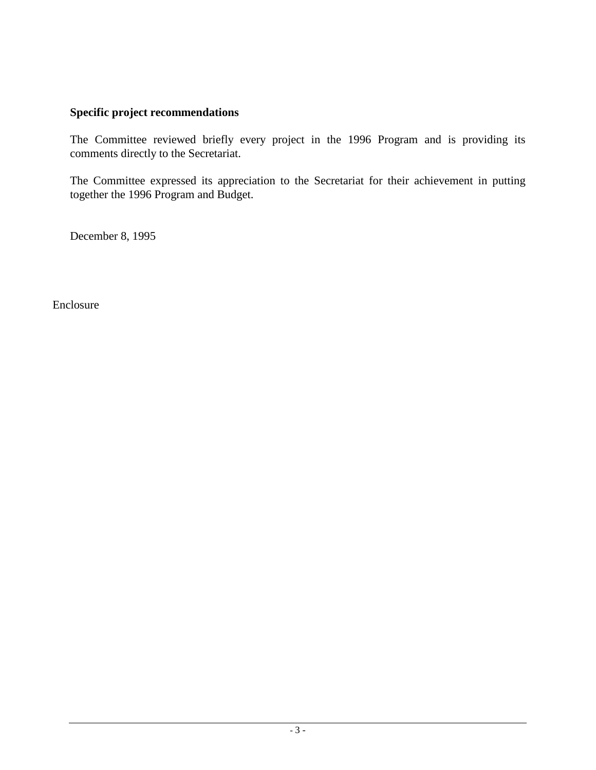### **Specific project recommendations**

The Committee reviewed briefly every project in the 1996 Program and is providing its comments directly to the Secretariat.

The Committee expressed its appreciation to the Secretariat for their achievement in putting together the 1996 Program and Budget.

December 8, 1995

Enclosure